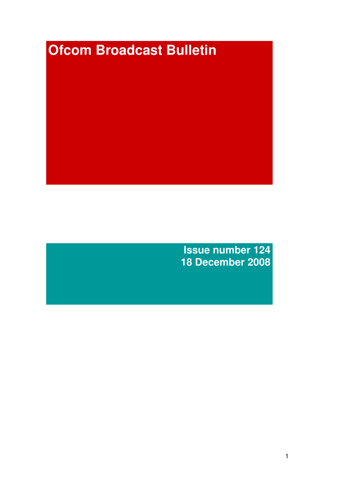# **Ofcom Broadcast Bulletin**

**Issue number 124 18 December 2008**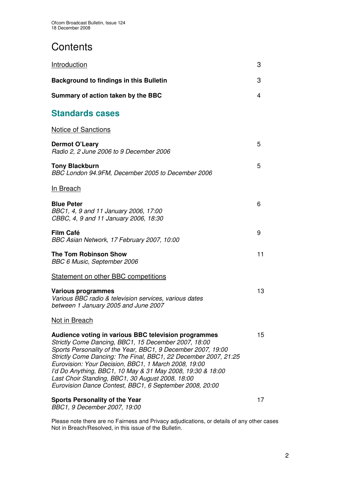# **Contents**

| Introduction                                                                                                                                                                                                                                                                                                                                                                                                                                                                         | 3  |
|--------------------------------------------------------------------------------------------------------------------------------------------------------------------------------------------------------------------------------------------------------------------------------------------------------------------------------------------------------------------------------------------------------------------------------------------------------------------------------------|----|
| <b>Background to findings in this Bulletin</b>                                                                                                                                                                                                                                                                                                                                                                                                                                       | 3  |
| Summary of action taken by the BBC                                                                                                                                                                                                                                                                                                                                                                                                                                                   | 4  |
| <b>Standards cases</b>                                                                                                                                                                                                                                                                                                                                                                                                                                                               |    |
| <b>Notice of Sanctions</b>                                                                                                                                                                                                                                                                                                                                                                                                                                                           |    |
| <b>Dermot O'Leary</b><br>Radio 2, 2 June 2006 to 9 December 2006                                                                                                                                                                                                                                                                                                                                                                                                                     | 5  |
| <b>Tony Blackburn</b><br>BBC London 94.9FM, December 2005 to December 2006                                                                                                                                                                                                                                                                                                                                                                                                           | 5  |
| In Breach                                                                                                                                                                                                                                                                                                                                                                                                                                                                            |    |
| <b>Blue Peter</b><br>BBC1, 4, 9 and 11 January 2006, 17:00<br>CBBC, 4, 9 and 11 January 2006, 18:30                                                                                                                                                                                                                                                                                                                                                                                  | 6  |
| <b>Film Café</b><br>BBC Asian Network, 17 February 2007, 10:00                                                                                                                                                                                                                                                                                                                                                                                                                       | 9  |
| <b>The Tom Robinson Show</b><br>BBC 6 Music, September 2006                                                                                                                                                                                                                                                                                                                                                                                                                          | 11 |
| Statement on other BBC competitions                                                                                                                                                                                                                                                                                                                                                                                                                                                  |    |
| <b>Various programmes</b><br>Various BBC radio & television services, various dates<br>between 1 January 2005 and June 2007                                                                                                                                                                                                                                                                                                                                                          | 13 |
| Not in Breach                                                                                                                                                                                                                                                                                                                                                                                                                                                                        |    |
| Audience voting in various BBC television programmes<br>Strictly Come Dancing, BBC1, 15 December 2007, 18:00<br>Sports Personality of the Year, BBC1, 9 December 2007, 19:00<br>Strictly Come Dancing: The Final, BBC1, 22 December 2007, 21:25<br>Eurovision: Your Decision, BBC1, 1 March 2008, 19:00<br>I'd Do Anything, BBC1, 10 May & 31 May 2008, 19:30 & 18:00<br>Last Choir Standing, BBC1, 30 August 2008, 18:00<br>Eurovision Dance Contest, BBC1, 6 September 2008, 20:00 | 15 |
| <b>Sports Personality of the Year</b><br>BBC1, 9 December 2007, 19:00                                                                                                                                                                                                                                                                                                                                                                                                                | 17 |

Please note there are no Fairness and Privacy adjudications, or details of any other cases Not in Breach/Resolved, in this issue of the Bulletin.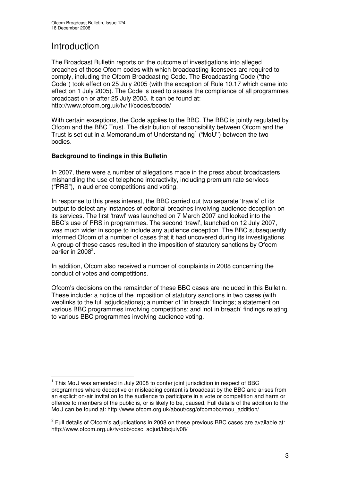# Introduction

The Broadcast Bulletin reports on the outcome of investigations into alleged breaches of those Ofcom codes with which broadcasting licensees are required to comply, including the Ofcom Broadcasting Code. The Broadcasting Code ("the Code") took effect on 25 July 2005 (with the exception of Rule 10.17 which came into effect on 1 July 2005). The Code is used to assess the compliance of all programmes broadcast on or after 25 July 2005. It can be found at: http://www.ofcom.org.uk/tv/ifi/codes/bcode/

With certain exceptions, the Code applies to the BBC. The BBC is jointly regulated by Ofcom and the BBC Trust. The distribution of responsibility between Ofcom and the Trust is set out in a Memorandum of Understanding<sup>1</sup> ("MoU") between the two bodies.

# **Background to findings in this Bulletin**

In 2007, there were a number of allegations made in the press about broadcasters mishandling the use of telephone interactivity, including premium rate services ("PRS"), in audience competitions and voting.

In response to this press interest, the BBC carried out two separate 'trawls' of its output to detect any instances of editorial breaches involving audience deception on its services. The first 'trawl' was launched on 7 March 2007 and looked into the BBC's use of PRS in programmes. The second 'trawl', launched on 12 July 2007, was much wider in scope to include any audience deception. The BBC subsequently informed Ofcom of a number of cases that it had uncovered during its investigations. A group of these cases resulted in the imposition of statutory sanctions by Ofcom earlier in 2008<sup>2</sup>.

In addition, Ofcom also received a number of complaints in 2008 concerning the conduct of votes and competitions.

Ofcom's decisions on the remainder of these BBC cases are included in this Bulletin. These include: a notice of the imposition of statutory sanctions in two cases (with weblinks to the full adjudications); a number of 'in breach' findings; a statement on various BBC programmes involving competitions; and 'not in breach' findings relating to various BBC programmes involving audience voting.

<sup>&</sup>lt;sup>1</sup> This MoU was amended in July 2008 to confer joint jurisdiction in respect of BBC programmes where deceptive or misleading content is broadcast by the BBC and arises from an explicit on-air invitation to the audience to participate in a vote or competition and harm or offence to members of the public is, or is likely to be, caused. Full details of the addition to the MoU can be found at: http://www.ofcom.org.uk/about/csg/ofcombbc/mou\_addition/

 $^2$  Full details of Ofcom's adjudications in 2008 on these previous BBC cases are available at: http://www.ofcom.org.uk/tv/obb/ocsc\_adjud/bbcjuly08/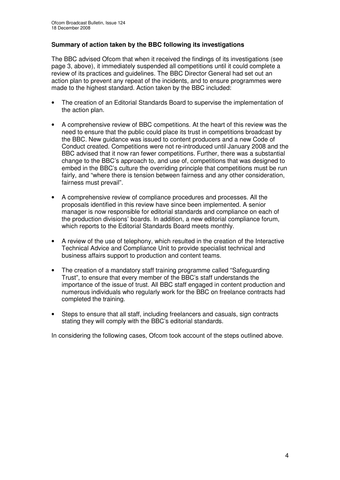# **Summary of action taken by the BBC following its investigations**

The BBC advised Ofcom that when it received the findings of its investigations (see page 3, above), it immediately suspended all competitions until it could complete a review of its practices and guidelines. The BBC Director General had set out an action plan to prevent any repeat of the incidents, and to ensure programmes were made to the highest standard. Action taken by the BBC included:

- The creation of an Editorial Standards Board to supervise the implementation of the action plan.
- A comprehensive review of BBC competitions. At the heart of this review was the need to ensure that the public could place its trust in competitions broadcast by the BBC. New guidance was issued to content producers and a new Code of Conduct created. Competitions were not re-introduced until January 2008 and the BBC advised that it now ran fewer competitions. Further, there was a substantial change to the BBC's approach to, and use of, competitions that was designed to embed in the BBC's culture the overriding principle that competitions must be run fairly, and "where there is tension between fairness and any other consideration, fairness must prevail".
- A comprehensive review of compliance procedures and processes. All the proposals identified in this review have since been implemented. A senior manager is now responsible for editorial standards and compliance on each of the production divisions' boards. In addition, a new editorial compliance forum, which reports to the Editorial Standards Board meets monthly.
- A review of the use of telephony, which resulted in the creation of the Interactive Technical Advice and Compliance Unit to provide specialist technical and business affairs support to production and content teams.
- The creation of a mandatory staff training programme called "Safeguarding" Trust", to ensure that every member of the BBC's staff understands the importance of the issue of trust. All BBC staff engaged in content production and numerous individuals who regularly work for the BBC on freelance contracts had completed the training.
- Steps to ensure that all staff, including freelancers and casuals, sign contracts stating they will comply with the BBC's editorial standards.

In considering the following cases, Ofcom took account of the steps outlined above.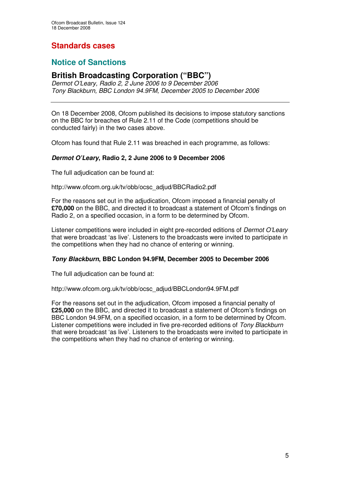# **Standards cases**

# **Notice of Sanctions**

# **British Broadcasting Corporation ("BBC")**

*Dermot O'Leary, Radio 2, 2 June 2006 to 9 December 2006 Tony Blackburn, BBC London 94.9FM, December 2005 to December 2006*

On 18 December 2008, Ofcom published its decisions to impose statutory sanctions on the BBC for breaches of Rule 2.11 of the Code (competitions should be conducted fairly) in the two cases above.

Ofcom has found that Rule 2.11 was breached in each programme, as follows:

# *Dermot O'Leary***, Radio 2, 2 June 2006 to 9 December 2006**

The full adjudication can be found at:

http://www.ofcom.org.uk/tv/obb/ocsc\_adjud/BBCRadio2.pdf

For the reasons set out in the adjudication, Ofcom imposed a financial penalty of **£70,000** on the BBC, and directed it to broadcast a statement of Ofcom's findings on Radio 2, on a specified occasion, in a form to be determined by Ofcom.

Listener competitions were included in eight pre-recorded editions of *Dermot O'Leary* that were broadcast 'as live'. Listeners to the broadcasts were invited to participate in the competitions when they had no chance of entering or winning.

## *Tony Blackburn***, BBC London 94.9FM, December 2005 to December 2006**

The full adjudication can be found at:

http://www.ofcom.org.uk/tv/obb/ocsc\_adjud/BBCLondon94.9FM.pdf

For the reasons set out in the adjudication, Ofcom imposed a financial penalty of **£25,000** on the BBC, and directed it to broadcast a statement of Ofcom's findings on BBC London 94.9FM, on a specified occasion, in a form to be determined by Ofcom. Listener competitions were included in five pre-recorded editions of *Tony Blackburn* that were broadcast 'as live'. Listeners to the broadcasts were invited to participate in the competitions when they had no chance of entering or winning.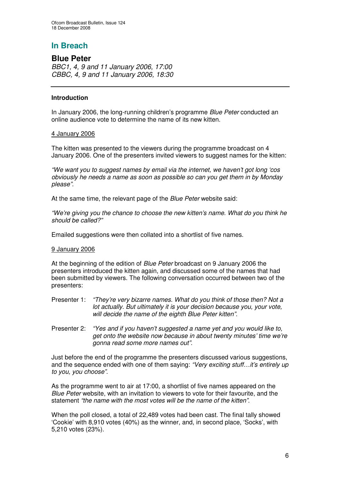# **In Breach**

# **Blue Peter**

*BBC1, 4, 9 and 11 January 2006, 17:00 CBBC, 4, 9 and 11 January 2006, 18:30*

## **Introduction**

In January 2006, the long-running children's programme *Blue Peter* conducted an online audience vote to determine the name of its new kitten.

#### 4 January 2006

The kitten was presented to the viewers during the programme broadcast on 4 January 2006. One of the presenters invited viewers to suggest names for the kitten:

*"We want you to suggest names by email via the internet, we haven't got long 'cos obviously he needs a name as soon as possible so can you get them in by Monday please".*

At the same time, the relevant page of the *Blue Peter* website said:

*"We're giving you the chance to choose the new kitten's name. What do you think he should be called?"*

Emailed suggestions were then collated into a shortlist of five names.

## 9 January 2006

At the beginning of the edition of *Blue Peter* broadcast on 9 January 2006 the presenters introduced the kitten again, and discussed some of the names that had been submitted by viewers. The following conversation occurred between two of the presenters:

- Presenter 1: *"They're very bizarre names. What do you think of those then? Not a lot actually. But ultimately it is your decision because you, your vote, will decide the name of the eighth Blue Peter kitten".*
- Presenter 2: *"Yes and if you haven't suggested a name yet and you would like to, get onto the website now because in about twenty minutes' time we're gonna read some more names out".*

Just before the end of the programme the presenters discussed various suggestions, and the sequence ended with one of them saying: *"Very exciting stuff…it's entirely up to you, you choose".*

As the programme went to air at 17:00, a shortlist of five names appeared on the *Blue Peter* website, with an invitation to viewers to vote for their favourite, and the statement *"the name with the most votes will be the name of the kitten"*.

When the poll closed, a total of 22,489 votes had been cast. The final tally showed 'Cookie' with 8,910 votes (40%) as the winner, and, in second place, 'Socks', with 5,210 votes (23%).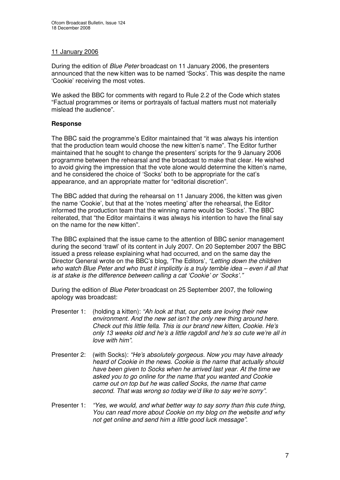# 11 January 2006

During the edition of *Blue Peter* broadcast on 11 January 2006, the presenters announced that the new kitten was to be named 'Socks'. This was despite the name 'Cookie' receiving the most votes.

We asked the BBC for comments with regard to Rule 2.2 of the Code which states "Factual programmes or items or portrayals of factual matters must not materially mislead the audience".

# **Response**

The BBC said the programme's Editor maintained that "it was always his intention that the production team would choose the new kitten's name". The Editor further maintained that he sought to change the presenters' scripts for the 9 January 2006 programme between the rehearsal and the broadcast to make that clear. He wished to avoid giving the impression that the vote alone would determine the kitten's name, and he considered the choice of 'Socks' both to be appropriate for the cat's appearance, and an appropriate matter for "editorial discretion".

The BBC added that during the rehearsal on 11 January 2006, the kitten was given the name 'Cookie', but that at the 'notes meeting' after the rehearsal, the Editor informed the production team that the winning name would be 'Socks'. The BBC reiterated, that "the Editor maintains it was always his intention to have the final say on the name for the new kitten".

The BBC explained that the issue came to the attention of BBC senior management during the second 'trawl' of its content in July 2007. On 20 September 2007 the BBC issued a press release explaining what had occurred, and on the same day the Director General wrote on the BBC's blog, 'The Editors', *"Letting down the children* who watch Blue Peter and who trust it implicitly is a truly terrible idea – even if all that *is at stake is the difference between calling a cat 'Cookie' or 'Socks'."*

During the edition of *Blue Peter* broadcast on 25 September 2007, the following apology was broadcast:

- Presenter 1: (holding a kitten): *"Ah look at that, our pets are loving their new environment. And the new set isn't the only new thing around here. Check out this little fella. This is our brand new kitten, Cookie. He's only 13 weeks old and he's a little ragdoll and he's so cute we're all in love with him".*
- Presenter 2: (with Socks): *"He's absolutely gorgeous. Now you may have already heard of Cookie in the news. Cookie is the name that actually should have been given to Socks when he arrived last year. At the time we asked you to go online for the name that you wanted and Cookie came out on top but he was called Socks, the name that came second. That was wrong so today we'd like to say we're sorry".*
- Presenter 1: *"Yes, we would, and what better way to say sorry than this cute thing, You can read more about Cookie on my blog on the website and why not get online and send him a little good luck message".*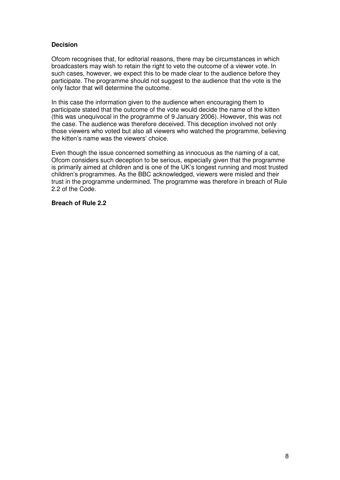# **Decision**

Ofcom recognises that, for editorial reasons, there may be circumstances in which broadcasters may wish to retain the right to veto the outcome of a viewer vote. In such cases, however, we expect this to be made clear to the audience before they participate. The programme should not suggest to the audience that the vote is the only factor that will determine the outcome.

In this case the information given to the audience when encouraging them to participate stated that the outcome of the vote would decide the name of the kitten (this was unequivocal in the programme of 9 January 2006). However, this was not the case. The audience was therefore deceived. This deception involved not only those viewers who voted but also all viewers who watched the programme, believing the kitten's name was the viewers' choice.

Even though the issue concerned something as innocuous as the naming of a cat, Ofcom considers such deception to be serious, especially given that the programme is primarily aimed at children and is one of the UK's longest running and most trusted children's programmes. As the BBC acknowledged, viewers were misled and their trust in the programme undermined. The programme was therefore in breach of Rule 2.2 of the Code.

#### **Breach of Rule 2.2**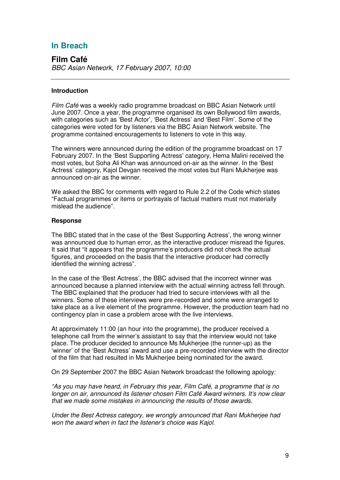# **In Breach**

**Film Café** *BBC Asian Network, 17 February 2007, 10:00*

# **Introduction**

*Film Café* was a weekly radio programme broadcast on BBC Asian Network until June 2007. Once a year, the programme organised its own Bollywood film awards, with categories such as 'Best Actor', 'Best Actress' and 'Best Film'. Some of the categories were voted for by listeners via the BBC Asian Network website. The programme contained encouragements to listeners to vote in this way.

The winners were announced during the edition of the programme broadcast on 17 February 2007. In the 'Best Supporting Actress' category, Hema Malini received the most votes, but Soha Ali Khan was announced on-air as the winner. In the 'Best Actress' category, Kajol Devgan received the most votes but Rani Mukherjee was announced on-air as the winner.

We asked the BBC for comments with regard to Rule 2.2 of the Code which states "Factual programmes or items or portrayals of factual matters must not materially mislead the audience".

#### **Response**

The BBC stated that in the case of the 'Best Supporting Actress', the wrong winner was announced due to human error, as the interactive producer misread the figures. It said that "it appears that the programme's producers did not check the actual figures, and proceeded on the basis that the interactive producer had correctly identified the winning actress".

In the case of the 'Best Actress', the BBC advised that the incorrect winner was announced because a planned interview with the actual winning actress fell through. The BBC explained that the producer had tried to secure interviews with all the winners. Some of these interviews were pre-recorded and some were arranged to take place as a live element of the programme. However, the production team had no contingency plan in case a problem arose with the live interviews.

At approximately 11:00 (an hour into the programme), the producer received a telephone call from the winner's assistant to say that the interview would not take place. The producer decided to announce Ms Mukherjee (the runner-up) as the 'winner' of the 'Best Actress' award and use a pre-recorded interview with the director of the film that had resulted in Ms Mukherjee being nominated for the award.

On 29 September 2007 the BBC Asian Network broadcast the following apology:

*"As you may have heard, in February this year, Film Café, a programme that is no longer on air, announced its listener chosen Film Café Award winners. It's now clear that we made some mistakes in announcing the results of those awards.*

*Under the Best Actress category, we wrongly announced that Rani Mukherjee had won the award when in fact the listener's choice was Kajol.*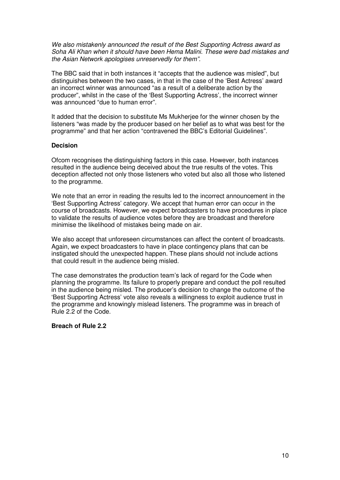*We also mistakenly announced the result of the Best Supporting Actress award as Soha Ali Khan when it should have been Hema Malini. These were bad mistakes and the Asian Network apologises unreservedly for them".*

The BBC said that in both instances it "accepts that the audience was misled", but distinguishes between the two cases, in that in the case of the 'Best Actress' award an incorrect winner was announced "as a result of a deliberate action by the producer", whilst in the case of the 'Best Supporting Actress', the incorrect winner was announced "due to human error".

It added that the decision to substitute Ms Mukherjee for the winner chosen by the listeners "was made by the producer based on her belief as to what was best for the programme" and that her action "contravened the BBC's Editorial Guidelines".

## **Decision**

Ofcom recognises the distinguishing factors in this case. However, both instances resulted in the audience being deceived about the true results of the votes. This deception affected not only those listeners who voted but also all those who listened to the programme.

We note that an error in reading the results led to the incorrect announcement in the 'Best Supporting Actress' category. We accept that human error can occur in the course of broadcasts. However, we expect broadcasters to have procedures in place to validate the results of audience votes before they are broadcast and therefore minimise the likelihood of mistakes being made on air.

We also accept that unforeseen circumstances can affect the content of broadcasts. Again, we expect broadcasters to have in place contingency plans that can be instigated should the unexpected happen. These plans should not include actions that could result in the audience being misled.

The case demonstrates the production team's lack of regard for the Code when planning the programme. Its failure to properly prepare and conduct the poll resulted in the audience being misled. The producer's decision to change the outcome of the 'Best Supporting Actress' vote also reveals a willingness to exploit audience trust in the programme and knowingly mislead listeners. The programme was in breach of Rule 2.2 of the Code.

## **Breach of Rule 2.2**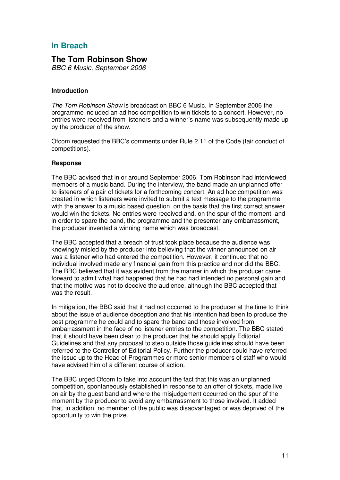# **In Breach**

# **The Tom Robinson Show**

*BBC 6 Music, September 2006*

#### **Introduction**

*The Tom Robinson Show* is broadcast on BBC 6 Music. In September 2006 the programme included an ad hoc competition to win tickets to a concert. However, no entries were received from listeners and a winner's name was subsequently made up by the producer of the show.

Ofcom requested the BBC's comments under Rule 2.11 of the Code (fair conduct of competitions).

#### **Response**

The BBC advised that in or around September 2006, Tom Robinson had interviewed members of a music band. During the interview, the band made an unplanned offer to listeners of a pair of tickets for a forthcoming concert. An ad hoc competition was created in which listeners were invited to submit a text message to the programme with the answer to a music based question, on the basis that the first correct answer would win the tickets. No entries were received and, on the spur of the moment, and in order to spare the band, the programme and the presenter any embarrassment, the producer invented a winning name which was broadcast.

The BBC accepted that a breach of trust took place because the audience was knowingly misled by the producer into believing that the winner announced on air was a listener who had entered the competition. However, it continued that no individual involved made any financial gain from this practice and nor did the BBC. The BBC believed that it was evident from the manner in which the producer came forward to admit what had happened that he had had intended no personal gain and that the motive was not to deceive the audience, although the BBC accepted that was the result.

In mitigation, the BBC said that it had not occurred to the producer at the time to think about the issue of audience deception and that his intention had been to produce the best programme he could and to spare the band and those involved from embarrassment in the face of no listener entries to the competition. The BBC stated that it should have been clear to the producer that he should apply Editorial Guidelines and that any proposal to step outside those guidelines should have been referred to the Controller of Editorial Policy. Further the producer could have referred the issue up to the Head of Programmes or more senior members of staff who would have advised him of a different course of action.

The BBC urged Ofcom to take into account the fact that this was an unplanned competition, spontaneously established in response to an offer of tickets, made live on air by the guest band and where the misjudgement occurred on the spur of the moment by the producer to avoid any embarrassment to those involved. It added that, in addition, no member of the public was disadvantaged or was deprived of the opportunity to win the prize.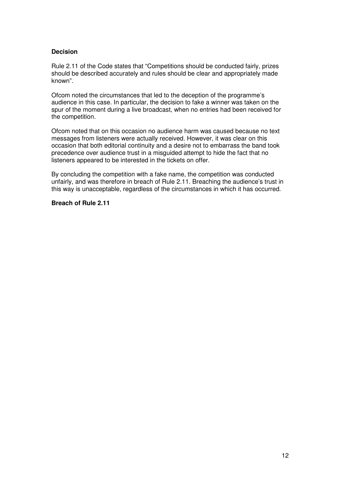# **Decision**

Rule 2.11 of the Code states that "Competitions should be conducted fairly, prizes should be described accurately and rules should be clear and appropriately made known".

Ofcom noted the circumstances that led to the deception of the programme's audience in this case. In particular, the decision to fake a winner was taken on the spur of the moment during a live broadcast, when no entries had been received for the competition.

Ofcom noted that on this occasion no audience harm was caused because no text messages from listeners were actually received. However, it was clear on this occasion that both editorial continuity and a desire not to embarrass the band took precedence over audience trust in a misguided attempt to hide the fact that no listeners appeared to be interested in the tickets on offer.

By concluding the competition with a fake name, the competition was conducted unfairly, and was therefore in breach of Rule 2.11. Breaching the audience's trust in this way is unacceptable, regardless of the circumstances in which it has occurred.

#### **Breach of Rule 2.11**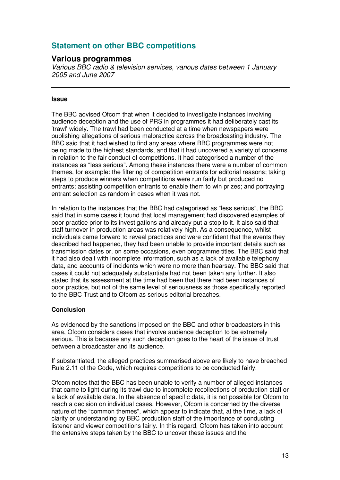# **Statement on other BBC competitions**

# **Various programmes**

*Various BBC radio & television services, various dates between 1 January 2005 and June 2007*

#### **Issue**

The BBC advised Ofcom that when it decided to investigate instances involving audience deception and the use of PRS in programmes it had deliberately cast its 'trawl' widely. The trawl had been conducted at a time when newspapers were publishing allegations of serious malpractice across the broadcasting industry. The BBC said that it had wished to find any areas where BBC programmes were not being made to the highest standards, and that it had uncovered a variety of concerns in relation to the fair conduct of competitions. It had categorised a number of the instances as "less serious". Among these instances there were a number of common themes, for example: the filtering of competition entrants for editorial reasons; taking steps to produce winners when competitions were run fairly but produced no entrants; assisting competition entrants to enable them to win prizes; and portraying entrant selection as random in cases when it was not.

In relation to the instances that the BBC had categorised as "less serious", the BBC said that in some cases it found that local management had discovered examples of poor practice prior to its investigations and already put a stop to it. It also said that staff turnover in production areas was relatively high. As a consequence, whilst individuals came forward to reveal practices and were confident that the events they described had happened, they had been unable to provide important details such as transmission dates or, on some occasions, even programme titles. The BBC said that it had also dealt with incomplete information, such as a lack of available telephony data, and accounts of incidents which were no more than hearsay. The BBC said that cases it could not adequately substantiate had not been taken any further. It also stated that its assessment at the time had been that there had been instances of poor practice, but not of the same level of seriousness as those specifically reported to the BBC Trust and to Ofcom as serious editorial breaches.

## **Conclusion**

As evidenced by the sanctions imposed on the BBC and other broadcasters in this area, Ofcom considers cases that involve audience deception to be extremely serious. This is because any such deception goes to the heart of the issue of trust between a broadcaster and its audience.

If substantiated, the alleged practices summarised above are likely to have breached Rule 2.11 of the Code, which requires competitions to be conducted fairly.

Ofcom notes that the BBC has been unable to verify a number of alleged instances that came to light during its trawl due to incomplete recollections of production staff or a lack of available data. In the absence of specific data, it is not possible for Ofcom to reach a decision on individual cases. However, Ofcom is concerned by the diverse nature of the "common themes", which appear to indicate that, at the time, a lack of clarity or understanding by BBC production staff of the importance of conducting listener and viewer competitions fairly. In this regard, Ofcom has taken into account the extensive steps taken by the BBC to uncover these issues and the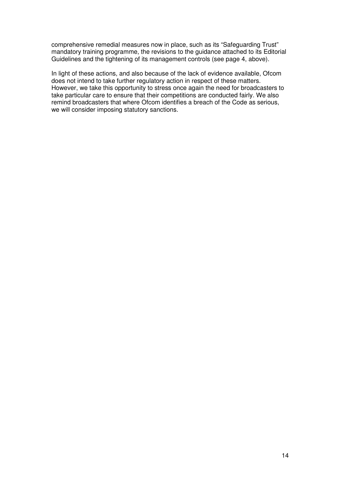comprehensive remedial measures now in place, such as its "Safeguarding Trust" mandatory training programme, the revisions to the guidance attached to its Editorial Guidelines and the tightening of its management controls (see page 4, above).

In light of these actions, and also because of the lack of evidence available, Ofcom does not intend to take further regulatory action in respect of these matters. However, we take this opportunity to stress once again the need for broadcasters to take particular care to ensure that their competitions are conducted fairly. We also remind broadcasters that where Ofcom identifies a breach of the Code as serious, we will consider imposing statutory sanctions.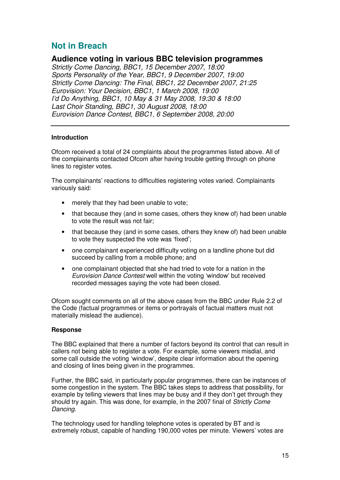# **Not in Breach**

# **Audience voting in various BBC television programmes**

*Strictly Come Dancing, BBC1, 15 December 2007, 18:00 Sports Personality of the Year, BBC1, 9 December 2007, 19:00 Strictly Come Dancing: The Final, BBC1, 22 December 2007, 21:25 Eurovision: Your Decision, BBC1, 1 March 2008, 19:00 I'd Do Anything, BBC1, 10 May & 31 May 2008, 19:30 & 18:00 Last Choir Standing, BBC1, 30 August 2008, 18:00 Eurovision Dance Contest, BBC1, 6 September 2008, 20:00*

# **Introduction**

Ofcom received a total of 24 complaints about the programmes listed above. All of the complainants contacted Ofcom after having trouble getting through on phone lines to register votes.

The complainants' reactions to difficulties registering votes varied. Complainants variously said:

- merely that they had been unable to vote;
- that because they (and in some cases, others they knew of) had been unable to vote the result was not fair;
- that because they (and in some cases, others they knew of) had been unable to vote they suspected the vote was 'fixed';
- one complainant experienced difficulty voting on a landline phone but did succeed by calling from a mobile phone; and
- one complainant objected that she had tried to vote for a nation in the *Eurovision Dance Contest* well within the voting 'window' but received recorded messages saying the vote had been closed.

Ofcom sought comments on all of the above cases from the BBC under Rule 2.2 of the Code (factual programmes or items or portrayals of factual matters must not materially mislead the audience).

# **Response**

The BBC explained that there a number of factors beyond its control that can result in callers not being able to register a vote. For example, some viewers misdial, and some call outside the voting 'window', despite clear information about the opening and closing of lines being given in the programmes.

Further, the BBC said, in particularly popular programmes, there can be instances of some congestion in the system. The BBC takes steps to address that possibility, for example by telling viewers that lines may be busy and if they don't get through they should try again. This was done, for example, in the 2007 final of *Strictly Come Dancing*.

The technology used for handling telephone votes is operated by BT and is extremely robust, capable of handling 190,000 votes per minute. Viewers' votes are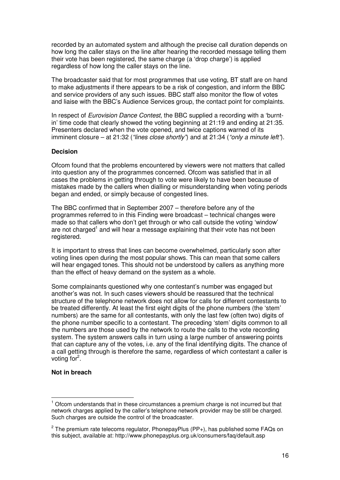recorded by an automated system and although the precise call duration depends on how long the caller stays on the line after hearing the recorded message telling them their vote has been registered, the same charge (a 'drop charge') is applied regardless of how long the caller stays on the line.

The broadcaster said that for most programmes that use voting, BT staff are on hand to make adjustments if there appears to be a risk of congestion, and inform the BBC and service providers of any such issues. BBC staff also monitor the flow of votes and liaise with the BBC's Audience Services group, the contact point for complaints.

In respect of *Eurovision Dance Contest*, the BBC supplied a recording with a 'burntin' time code that clearly showed the voting beginning at 21:19 and ending at 21:35. Presenters declared when the vote opened, and twice captions warned of its imminent closure – at 21:32 (*"lines close shortly"*) and at 21:34 (*"only a minute left"*).

#### **Decision**

Ofcom found that the problems encountered by viewers were not matters that called into question any of the programmes concerned. Ofcom was satisfied that in all cases the problems in getting through to vote were likely to have been because of mistakes made by the callers when dialling or misunderstanding when voting periods began and ended, or simply because of congested lines.

The BBC confirmed that in September 2007 – therefore before any of the programmes referred to in this Finding were broadcast – technical changes were made so that callers who don't get through or who call outside the voting 'window' are not charged<sup>1</sup> and will hear a message explaining that their vote has not been registered.

It is important to stress that lines can become overwhelmed, particularly soon after voting lines open during the most popular shows. This can mean that some callers will hear engaged tones. This should not be understood by callers as anything more than the effect of heavy demand on the system as a whole.

Some complainants questioned why one contestant's number was engaged but another's was not. In such cases viewers should be reassured that the technical structure of the telephone network does not allow for calls for different contestants to be treated differently. At least the first eight digits of the phone numbers (the 'stem' numbers) are the same for all contestants, with only the last few (often two) digits of the phone number specific to a contestant. The preceding 'stem' digits common to all the numbers are those used by the network to route the calls to the vote recording system. The system answers calls in turn using a large number of answering points that can capture any of the votes, i.e. any of the final identifying digits. The chance of a call getting through is therefore the same, regardless of which contestant a caller is voting for<sup>2</sup>.

#### **Not in breach**

 $1$  Ofcom understands that in these circumstances a premium charge is not incurred but that network charges applied by the caller's telephone network provider may be still be charged. Such charges are outside the control of the broadcaster.

 $^{2}$  The premium rate telecoms regulator, PhonepayPlus (PP+), has published some FAQs on this subject, available at: http://www.phonepayplus.org.uk/consumers/faq/default.asp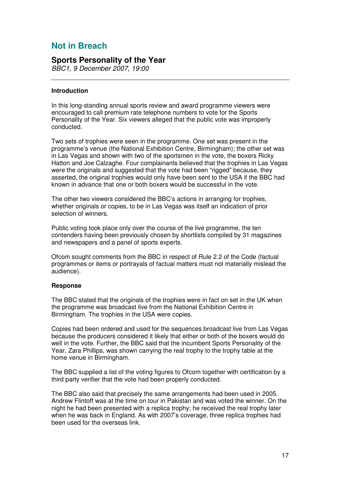# **Not in Breach**

# **Sports Personality of the Year**

*BBC1, 9 December 2007, 19:00*

# **Introduction**

In this long-standing annual sports review and award programme viewers were encouraged to call premium rate telephone numbers to vote for the Sports Personality of the Year. Six viewers alleged that the public vote was improperly conducted.

Two sets of trophies were seen in the programme. One set was present in the programme's venue (the National Exhibition Centre, Birmingham); the other set was in Las Vegas and shown with two of the sportsmen in the vote, the boxers Ricky Hatton and Joe Calzaghe. Four complainants believed that the trophies in Las Vegas were the originals and suggested that the vote had been "rigged" because, they asserted, the original trophies would only have been sent to the USA if the BBC had known in advance that one or both boxers would be successful in the vote.

The other two viewers considered the BBC's actions in arranging for trophies, whether originals or copies, to be in Las Vegas was itself an indication of prior selection of winners.

Public voting took place only over the course of the live programme, the ten contenders having been previously chosen by shortlists compiled by 31 magazines and newspapers and a panel of sports experts.

Ofcom sought comments from the BBC in respect of Rule 2.2 of the Code (factual programmes or items or portrayals of factual matters must not materially mislead the audience).

## **Response**

The BBC stated that the originals of the trophies were in fact on set in the UK when the programme was broadcast live from the National Exhibition Centre in Birmingham. The trophies in the USA were copies.

Copies had been ordered and used for the sequences broadcast live from Las Vegas because the producers considered it likely that either or both of the boxers would do well in the vote. Further, the BBC said that the incumbent Sports Personality of the Year, Zara Phillips, was shown carrying the real trophy to the trophy table at the home venue in Birmingham.

The BBC supplied a list of the voting figures to Ofcom together with certification by a third party verifier that the vote had been properly conducted.

The BBC also said that precisely the same arrangements had been used in 2005. Andrew Flintoff was at the time on tour in Pakistan and was voted the winner. On the night he had been presented with a replica trophy; he received the real trophy later when he was back in England. As with 2007's coverage, three replica trophies had been used for the overseas link.